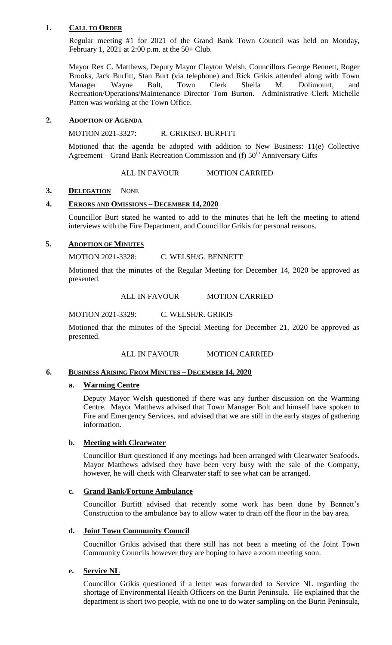### **1. CALL TO ORDER**

Regular meeting #1 for 2021 of the Grand Bank Town Council was held on Monday, February 1, 2021 at 2:00 p.m. at the 50+ Club.

Mayor Rex C. Matthews, Deputy Mayor Clayton Welsh, Councillors George Bennett, Roger Brooks, Jack Burfitt, Stan Burt (via telephone) and Rick Grikis attended along with Town Manager Wayne Bolt, Town Clerk Sheila M. Dolimount, and Recreation/Operations/Maintenance Director Tom Burton. Administrative Clerk Michelle Patten was working at the Town Office.

### **2. ADOPTION OF AGENDA**

MOTION 2021-3327: R. GRIKIS/J. BURFITT

Motioned that the agenda be adopted with addition to New Business: 11(e) Collective Agreement – Grand Bank Recreation Commission and (f)  $50<sup>th</sup>$  Anniversary Gifts

ALL IN FAVOUR MOTION CARRIED

#### 3. **DELEGATION** NONE

### **4. ERRORS AND OMISSIONS – DECEMBER 14, 2020**

Councillor Burt stated he wanted to add to the minutes that he left the meeting to attend interviews with the Fire Department, and Councillor Grikis for personal reasons.

### **5. ADOPTION OF MINUTES**

MOTION 2021-3328: C. WELSH/G. BENNETT

Motioned that the minutes of the Regular Meeting for December 14, 2020 be approved as presented.

ALL IN FAVOUR MOTION CARRIED

MOTION 2021-3329: C. WELSH/R. GRIKIS

Motioned that the minutes of the Special Meeting for December 21, 2020 be approved as presented.

#### ALL IN FAVOUR MOTION CARRIED

### **6. BUSINESS ARISING FROM MINUTES – DECEMBER 14, 2020**

#### **a. Warming Centre**

Deputy Mayor Welsh questioned if there was any further discussion on the Warming Centre. Mayor Matthews advised that Town Manager Bolt and himself have spoken to Fire and Emergency Services, and advised that we are still in the early stages of gathering information.

### **b. Meeting with Clearwater**

Councillor Burt questioned if any meetings had been arranged with Clearwater Seafoods. Mayor Matthews advised they have been very busy with the sale of the Company, however, he will check with Clearwater staff to see what can be arranged.

#### **c. Grand Bank/Fortune Ambulance**

Councillor Burfitt advised that recently some work has been done by Bennett's Construction to the ambulance bay to allow water to drain off the floor in the bay area.

### **d. Joint Town Community Council**

Coucnillor Grikis advised that there still has not been a meeting of the Joint Town Community Councils however they are hoping to have a zoom meeting soon.

# **e. Service NL**

Councillor Grikis questioned if a letter was forwarded to Service NL regarding the shortage of Environmental Health Officers on the Burin Peninsula. He explained that the department is short two people, with no one to do water sampling on the Burin Peninsula,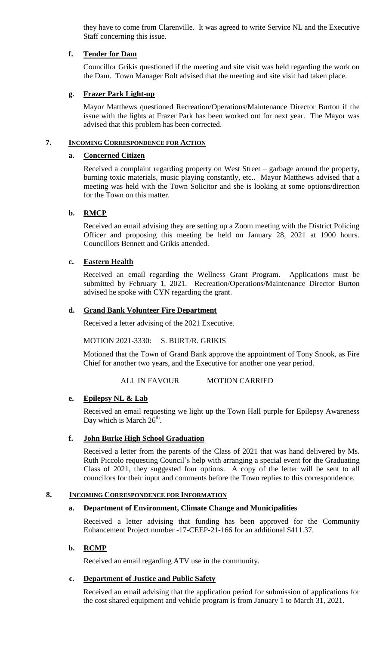they have to come from Clarenville. It was agreed to write Service NL and the Executive Staff concerning this issue.

# **f. Tender for Dam**

Councillor Grikis questioned if the meeting and site visit was held regarding the work on the Dam. Town Manager Bolt advised that the meeting and site visit had taken place.

# **g. Frazer Park Light-up**

Mayor Matthews questioned Recreation/Operations/Maintenance Director Burton if the issue with the lights at Frazer Park has been worked out for next year. The Mayor was advised that this problem has been corrected.

## **7. INCOMING CORRESPONDENCE FOR ACTION**

## **a. Concerned Citizen**

Received a complaint regarding property on West Street – garbage around the property, burning toxic materials, music playing constantly, etc.. Mayor Matthews advised that a meeting was held with the Town Solicitor and she is looking at some options/direction for the Town on this matter.

# **b. RMCP**

Received an email advising they are setting up a Zoom meeting with the District Policing Officer and proposing this meeting be held on January 28, 2021 at 1900 hours. Councillors Bennett and Grikis attended.

# **c. Eastern Health**

Received an email regarding the Wellness Grant Program. Applications must be submitted by February 1, 2021. Recreation/Operations/Maintenance Director Burton advised he spoke with CYN regarding the grant.

# **d. Grand Bank Volunteer Fire Department**

Received a letter advising of the 2021 Executive.

### MOTION 2021-3330: S. BURT/R. GRIKIS

Motioned that the Town of Grand Bank approve the appointment of Tony Snook, as Fire Chief for another two years, and the Executive for another one year period.

### ALL IN FAVOUR MOTION CARRIED

### **e. Epilepsy NL & Lab**

Received an email requesting we light up the Town Hall purple for Epilepsy Awareness Day which is March  $26^{\text{th}}$ .

### **f. John Burke High School Graduation**

Received a letter from the parents of the Class of 2021 that was hand delivered by Ms. Ruth Piccolo requesting Council's help with arranging a special event for the Graduating Class of 2021, they suggested four options. A copy of the letter will be sent to all councilors for their input and comments before the Town replies to this correspondence.

### **8. INCOMING CORRESPONDENCE FOR INFORMATION**

# **a. Department of Environment, Climate Change and Municipalities**

Received a letter advising that funding has been approved for the Community Enhancement Project number -17-CEEP-21-166 for an additional \$411.37.

### **b. RCMP**

Received an email regarding ATV use in the community.

### **c. Department of Justice and Public Safety**

Received an email advising that the application period for submission of applications for the cost shared equipment and vehicle program is from January 1 to March 31, 2021.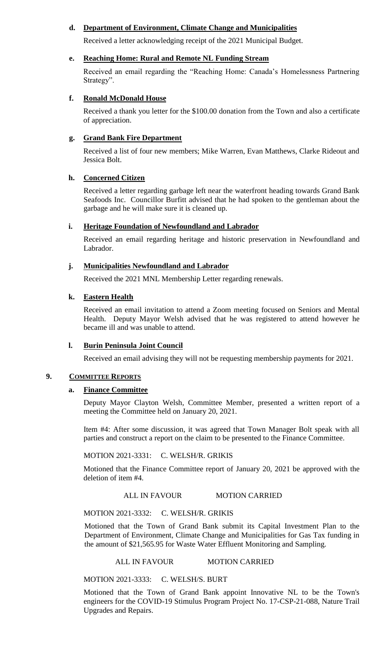# **d. Department of Environment, Climate Change and Municipalities**

Received a letter acknowledging receipt of the 2021 Municipal Budget.

# **e. Reaching Home: Rural and Remote NL Funding Stream**

Received an email regarding the "Reaching Home: Canada's Homelessness Partnering Strategy".

# **f. Ronald McDonald House**

Received a thank you letter for the \$100.00 donation from the Town and also a certificate of appreciation.

# **g. Grand Bank Fire Department**

Received a list of four new members; Mike Warren, Evan Matthews, Clarke Rideout and Jessica Bolt.

# **h. Concerned Citizen**

Received a letter regarding garbage left near the waterfront heading towards Grand Bank Seafoods Inc. Councillor Burfitt advised that he had spoken to the gentleman about the garbage and he will make sure it is cleaned up.

# **i. Heritage Foundation of Newfoundland and Labrador**

Received an email regarding heritage and historic preservation in Newfoundland and Labrador.

# **j. Municipalities Newfoundland and Labrador**

Received the 2021 MNL Membership Letter regarding renewals.

# **k. Eastern Health**

Received an email invitation to attend a Zoom meeting focused on Seniors and Mental Health. Deputy Mayor Welsh advised that he was registered to attend however he became ill and was unable to attend.

# **l. Burin Peninsula Joint Council**

Received an email advising they will not be requesting membership payments for 2021.

### **9. COMMITTEE REPORTS**

### **a. Finance Committee**

Deputy Mayor Clayton Welsh, Committee Member, presented a written report of a meeting the Committee held on January 20, 2021.

Item #4: After some discussion, it was agreed that Town Manager Bolt speak with all parties and construct a report on the claim to be presented to the Finance Committee.

MOTION 2021-3331: C. WELSH/R. GRIKIS

Motioned that the Finance Committee report of January 20, 2021 be approved with the deletion of item #4.

ALL IN FAVOUR MOTION CARRIED

MOTION 2021-3332: C. WELSH/R. GRIKIS

Motioned that the Town of Grand Bank submit its Capital Investment Plan to the Department of Environment, Climate Change and Municipalities for Gas Tax funding in the amount of \$21,565.95 for Waste Water Effluent Monitoring and Sampling.

### ALL IN FAVOUR MOTION CARRIED

MOTION 2021-3333: C. WELSH/S. BURT

Motioned that the Town of Grand Bank appoint Innovative NL to be the Town's engineers for the COVID-19 Stimulus Program Project No. 17-CSP-21-088, Nature Trail Upgrades and Repairs.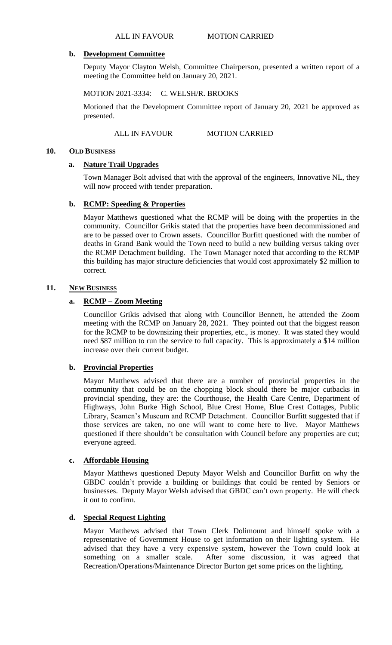#### **b. Development Committee**

Deputy Mayor Clayton Welsh, Committee Chairperson, presented a written report of a meeting the Committee held on January 20, 2021.

#### MOTION 2021-3334: C. WELSH/R. BROOKS

Motioned that the Development Committee report of January 20, 2021 be approved as presented.

#### ALL IN FAVOUR MOTION CARRIED

#### 10. OLD BUSINESS

## **a. Nature Trail Upgrades**

Town Manager Bolt advised that with the approval of the engineers, Innovative NL, they will now proceed with tender preparation.

#### **b. RCMP: Speeding & Properties**

Mayor Matthews questioned what the RCMP will be doing with the properties in the community. Councillor Grikis stated that the properties have been decommissioned and are to be passed over to Crown assets. Councillor Burfitt questioned with the number of deaths in Grand Bank would the Town need to build a new building versus taking over the RCMP Detachment building. The Town Manager noted that according to the RCMP this building has major structure deficiencies that would cost approximately \$2 million to correct.

#### **11. NEW BUSINESS**

### **a. RCMP – Zoom Meeting**

Councillor Grikis advised that along with Councillor Bennett, he attended the Zoom meeting with the RCMP on January 28, 2021. They pointed out that the biggest reason for the RCMP to be downsizing their properties, etc., is money. It was stated they would need \$87 million to run the service to full capacity. This is approximately a \$14 million increase over their current budget.

#### **b. Provincial Properties**

Mayor Matthews advised that there are a number of provincial properties in the community that could be on the chopping block should there be major cutbacks in provincial spending, they are: the Courthouse, the Health Care Centre, Department of Highways, John Burke High School, Blue Crest Home, Blue Crest Cottages, Public Library, Seamen's Museum and RCMP Detachment. Councillor Burfitt suggested that if those services are taken, no one will want to come here to live. Mayor Matthews questioned if there shouldn't be consultation with Council before any properties are cut; everyone agreed.

#### **c. Affordable Housing**

Mayor Matthews questioned Deputy Mayor Welsh and Councillor Burfitt on why the GBDC couldn't provide a building or buildings that could be rented by Seniors or businesses. Deputy Mayor Welsh advised that GBDC can't own property. He will check it out to confirm.

#### **d. Special Request Lighting**

Mayor Matthews advised that Town Clerk Dolimount and himself spoke with a representative of Government House to get information on their lighting system. He advised that they have a very expensive system, however the Town could look at something on a smaller scale. After some discussion, it was agreed that Recreation/Operations/Maintenance Director Burton get some prices on the lighting.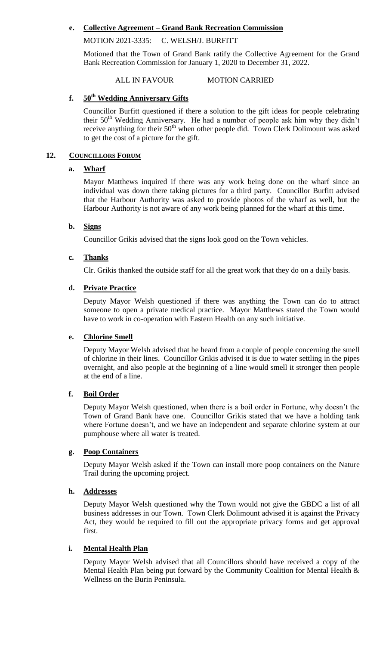# **e. Collective Agreement – Grand Bank Recreation Commission**

MOTION 2021-3335: C. WELSH/J. BURFITT

Motioned that the Town of Grand Bank ratify the Collective Agreement for the Grand Bank Recreation Commission for January 1, 2020 to December 31, 2022.

### ALL IN FAVOUR MOTION CARRIED

# **f. 50th Wedding Anniversary Gifts**

Councillor Burfitt questioned if there a solution to the gift ideas for people celebrating their  $50<sup>th</sup>$  Wedding Anniversary. He had a number of people ask him why they didn't receive anything for their  $50<sup>th</sup>$  when other people did. Town Clerk Dolimount was asked to get the cost of a picture for the gift.

## 12. **COUNCILLORS FORUM**

# **a. Wharf**

Mayor Matthews inquired if there was any work being done on the wharf since an individual was down there taking pictures for a third party. Councillor Burfitt advised that the Harbour Authority was asked to provide photos of the wharf as well, but the Harbour Authority is not aware of any work being planned for the wharf at this time.

# **b. Signs**

Councillor Grikis advised that the signs look good on the Town vehicles.

# **c. Thanks**

Clr. Grikis thanked the outside staff for all the great work that they do on a daily basis.

### **d. Private Practice**

Deputy Mayor Welsh questioned if there was anything the Town can do to attract someone to open a private medical practice. Mayor Matthews stated the Town would have to work in co-operation with Eastern Health on any such initiative.

### **e. Chlorine Smell**

Deputy Mayor Welsh advised that he heard from a couple of people concerning the smell of chlorine in their lines. Councillor Grikis advised it is due to water settling in the pipes overnight, and also people at the beginning of a line would smell it stronger then people at the end of a line.

### **f. Boil Order**

Deputy Mayor Welsh questioned, when there is a boil order in Fortune, why doesn't the Town of Grand Bank have one. Councillor Grikis stated that we have a holding tank where Fortune doesn't, and we have an independent and separate chlorine system at our pumphouse where all water is treated.

### **g. Poop Containers**

Deputy Mayor Welsh asked if the Town can install more poop containers on the Nature Trail during the upcoming project.

### **h. Addresses**

Deputy Mayor Welsh questioned why the Town would not give the GBDC a list of all business addresses in our Town. Town Clerk Dolimount advised it is against the Privacy Act, they would be required to fill out the appropriate privacy forms and get approval first.

# **i. Mental Health Plan**

Deputy Mayor Welsh advised that all Councillors should have received a copy of the Mental Health Plan being put forward by the Community Coalition for Mental Health & Wellness on the Burin Peninsula.